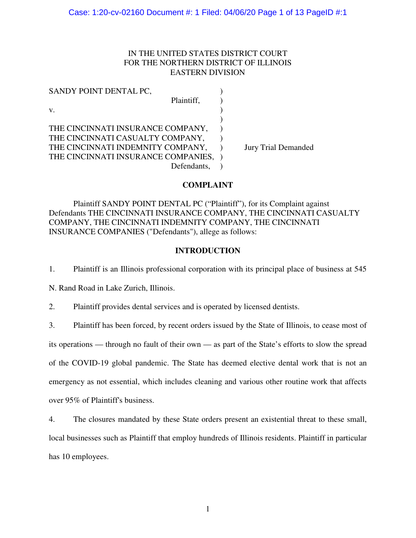# IN THE UNITED STATES DISTRICT COURT FOR THE NORTHERN DISTRICT OF ILLINOIS EASTERN DIVISION

| SANDY POINT DENTAL PC,              |             |                            |
|-------------------------------------|-------------|----------------------------|
|                                     | Plaintiff,  |                            |
| V.                                  |             |                            |
|                                     |             |                            |
| THE CINCINNATI INSURANCE COMPANY,   |             |                            |
| THE CINCINNATI CASUALTY COMPANY,    |             |                            |
| THE CINCINNATI INDEMNITY COMPANY,   |             | <b>Jury Trial Demanded</b> |
| THE CINCINNATI INSURANCE COMPANIES, |             |                            |
|                                     | Defendants, |                            |

# **COMPLAINT**

 Plaintiff SANDY POINT DENTAL PC ("Plaintiff"), for its Complaint against Defendants THE CINCINNATI INSURANCE COMPANY, THE CINCINNATI CASUALTY COMPANY, THE CINCINNATI INDEMNITY COMPANY, THE CINCINNATI INSURANCE COMPANIES ("Defendants"), allege as follows:

# **INTRODUCTION**

1. Plaintiff is an Illinois professional corporation with its principal place of business at 545

N. Rand Road in Lake Zurich, Illinois.

2. Plaintiff provides dental services and is operated by licensed dentists.

3. Plaintiff has been forced, by recent orders issued by the State of Illinois, to cease most of

its operations — through no fault of their own — as part of the State's efforts to slow the spread

of the COVID-19 global pandemic. The State has deemed elective dental work that is not an

emergency as not essential, which includes cleaning and various other routine work that affects

over 95% of Plaintiff's business.

4. The closures mandated by these State orders present an existential threat to these small,

local businesses such as Plaintiff that employ hundreds of Illinois residents. Plaintiff in particular has 10 employees.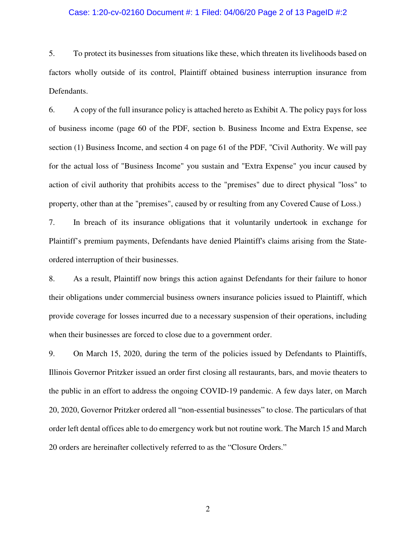## Case: 1:20-cv-02160 Document #: 1 Filed: 04/06/20 Page 2 of 13 PageID #:2

5. To protect its businesses from situations like these, which threaten its livelihoods based on factors wholly outside of its control, Plaintiff obtained business interruption insurance from Defendants.

6. A copy of the full insurance policy is attached hereto as Exhibit A. The policy pays for loss of business income (page 60 of the PDF, section b. Business Income and Extra Expense, see section (1) Business Income, and section 4 on page 61 of the PDF, "Civil Authority. We will pay for the actual loss of "Business Income" you sustain and "Extra Expense" you incur caused by action of civil authority that prohibits access to the "premises" due to direct physical "loss" to property, other than at the "premises", caused by or resulting from any Covered Cause of Loss.)

7. In breach of its insurance obligations that it voluntarily undertook in exchange for Plaintiff's premium payments, Defendants have denied Plaintiff's claims arising from the Stateordered interruption of their businesses.

8. As a result, Plaintiff now brings this action against Defendants for their failure to honor their obligations under commercial business owners insurance policies issued to Plaintiff, which provide coverage for losses incurred due to a necessary suspension of their operations, including when their businesses are forced to close due to a government order.

9. On March 15, 2020, during the term of the policies issued by Defendants to Plaintiffs, Illinois Governor Pritzker issued an order first closing all restaurants, bars, and movie theaters to the public in an effort to address the ongoing COVID-19 pandemic. A few days later, on March 20, 2020, Governor Pritzker ordered all "non-essential businesses" to close. The particulars of that order left dental offices able to do emergency work but not routine work. The March 15 and March 20 orders are hereinafter collectively referred to as the "Closure Orders."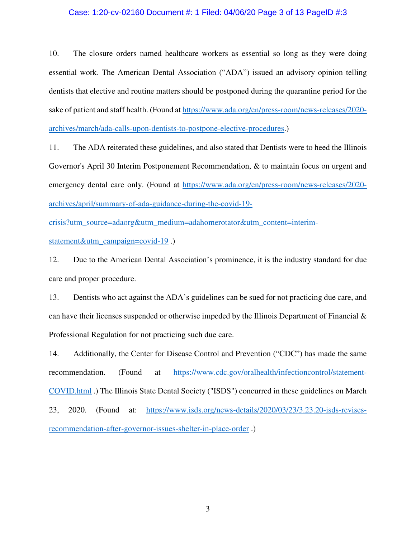### Case: 1:20-cv-02160 Document #: 1 Filed: 04/06/20 Page 3 of 13 PageID #:3

10. The closure orders named healthcare workers as essential so long as they were doing essential work. The American Dental Association ("ADA") issued an advisory opinion telling dentists that elective and routine matters should be postponed during the quarantine period for the sake of patient and staff health. (Found at https://www.ada.org/en/press-room/news-releases/2020 archives/march/ada-calls-upon-dentists-to-postpone-elective-procedures.)

11. The ADA reiterated these guidelines, and also stated that Dentists were to heed the Illinois Governor's April 30 Interim Postponement Recommendation, & to maintain focus on urgent and emergency dental care only. (Found at https://www.ada.org/en/press-room/news-releases/2020 archives/april/summary-of-ada-guidance-during-the-covid-19-

crisis?utm\_source=adaorg&utm\_medium=adahomerotator&utm\_content=interimstatement&utm\_campaign=covid-19 .)

12. Due to the American Dental Association's prominence, it is the industry standard for due care and proper procedure.

13. Dentists who act against the ADA's guidelines can be sued for not practicing due care, and can have their licenses suspended or otherwise impeded by the Illinois Department of Financial  $\&$ Professional Regulation for not practicing such due care.

14. Additionally, the Center for Disease Control and Prevention ("CDC") has made the same recommendation. (Found at https://www.cdc.gov/oralhealth/infectioncontrol/statement-COVID.html .) The Illinois State Dental Society ("ISDS") concurred in these guidelines on March 23, 2020. (Found at: https://www.isds.org/news-details/2020/03/23/3.23.20-isds-revisesrecommendation-after-governor-issues-shelter-in-place-order .)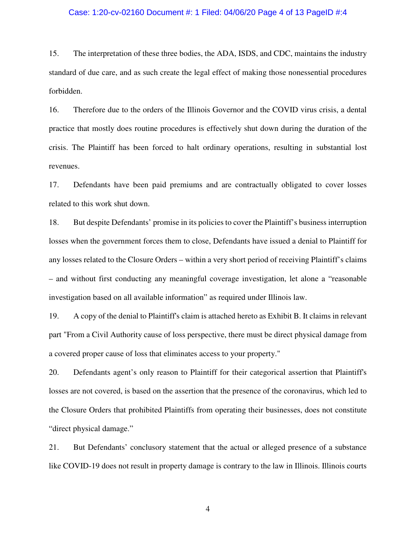### Case: 1:20-cv-02160 Document #: 1 Filed: 04/06/20 Page 4 of 13 PageID #:4

15. The interpretation of these three bodies, the ADA, ISDS, and CDC, maintains the industry standard of due care, and as such create the legal effect of making those nonessential procedures forbidden.

16. Therefore due to the orders of the Illinois Governor and the COVID virus crisis, a dental practice that mostly does routine procedures is effectively shut down during the duration of the crisis. The Plaintiff has been forced to halt ordinary operations, resulting in substantial lost revenues.

17. Defendants have been paid premiums and are contractually obligated to cover losses related to this work shut down.

18. But despite Defendants' promise in its policies to cover the Plaintiff's business interruption losses when the government forces them to close, Defendants have issued a denial to Plaintiff for any losses related to the Closure Orders – within a very short period of receiving Plaintiff's claims – and without first conducting any meaningful coverage investigation, let alone a "reasonable investigation based on all available information" as required under Illinois law.

19. A copy of the denial to Plaintiff's claim is attached hereto as Exhibit B. It claims in relevant part "From a Civil Authority cause of loss perspective, there must be direct physical damage from a covered proper cause of loss that eliminates access to your property."

20. Defendants agent's only reason to Plaintiff for their categorical assertion that Plaintiff's losses are not covered, is based on the assertion that the presence of the coronavirus, which led to the Closure Orders that prohibited Plaintiffs from operating their businesses, does not constitute "direct physical damage."

21. But Defendants' conclusory statement that the actual or alleged presence of a substance like COVID-19 does not result in property damage is contrary to the law in Illinois. Illinois courts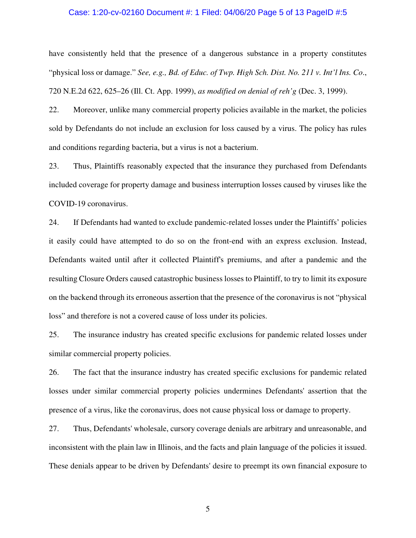### Case: 1:20-cv-02160 Document #: 1 Filed: 04/06/20 Page 5 of 13 PageID #:5

have consistently held that the presence of a dangerous substance in a property constitutes "physical loss or damage." *See, e.g., Bd. of Educ. of Twp. High Sch. Dist. No. 211 v. Int'l Ins. Co*., 720 N.E.2d 622, 625–26 (Ill. Ct. App. 1999), *as modified on denial of reh'g* (Dec. 3, 1999).

22. Moreover, unlike many commercial property policies available in the market, the policies sold by Defendants do not include an exclusion for loss caused by a virus. The policy has rules and conditions regarding bacteria, but a virus is not a bacterium.

23. Thus, Plaintiffs reasonably expected that the insurance they purchased from Defendants included coverage for property damage and business interruption losses caused by viruses like the COVID-19 coronavirus.

24. If Defendants had wanted to exclude pandemic-related losses under the Plaintiffs' policies it easily could have attempted to do so on the front-end with an express exclusion. Instead, Defendants waited until after it collected Plaintiff's premiums, and after a pandemic and the resulting Closure Orders caused catastrophic business losses to Plaintiff, to try to limit its exposure on the backend through its erroneous assertion that the presence of the coronavirus is not "physical loss" and therefore is not a covered cause of loss under its policies.

25. The insurance industry has created specific exclusions for pandemic related losses under similar commercial property policies.

26. The fact that the insurance industry has created specific exclusions for pandemic related losses under similar commercial property policies undermines Defendants' assertion that the presence of a virus, like the coronavirus, does not cause physical loss or damage to property.

27. Thus, Defendants' wholesale, cursory coverage denials are arbitrary and unreasonable, and inconsistent with the plain law in Illinois, and the facts and plain language of the policies it issued. These denials appear to be driven by Defendants' desire to preempt its own financial exposure to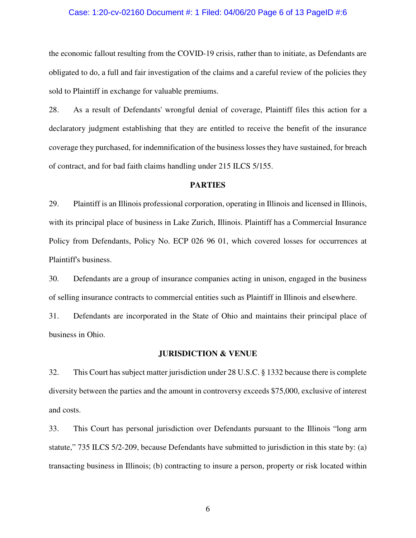### Case: 1:20-cv-02160 Document #: 1 Filed: 04/06/20 Page 6 of 13 PageID #:6

the economic fallout resulting from the COVID-19 crisis, rather than to initiate, as Defendants are obligated to do, a full and fair investigation of the claims and a careful review of the policies they sold to Plaintiff in exchange for valuable premiums.

28. As a result of Defendants' wrongful denial of coverage, Plaintiff files this action for a declaratory judgment establishing that they are entitled to receive the benefit of the insurance coverage they purchased, for indemnification of the business losses they have sustained, for breach of contract, and for bad faith claims handling under 215 ILCS 5/155.

### **PARTIES**

29. Plaintiff is an Illinois professional corporation, operating in Illinois and licensed in Illinois, with its principal place of business in Lake Zurich, Illinois. Plaintiff has a Commercial Insurance Policy from Defendants, Policy No. ECP 026 96 01, which covered losses for occurrences at Plaintiff's business.

30. Defendants are a group of insurance companies acting in unison, engaged in the business of selling insurance contracts to commercial entities such as Plaintiff in Illinois and elsewhere.

31. Defendants are incorporated in the State of Ohio and maintains their principal place of business in Ohio.

### **JURISDICTION & VENUE**

32. This Court has subject matter jurisdiction under 28 U.S.C. § 1332 because there is complete diversity between the parties and the amount in controversy exceeds \$75,000, exclusive of interest and costs.

33. This Court has personal jurisdiction over Defendants pursuant to the Illinois "long arm statute," 735 ILCS 5/2-209, because Defendants have submitted to jurisdiction in this state by: (a) transacting business in Illinois; (b) contracting to insure a person, property or risk located within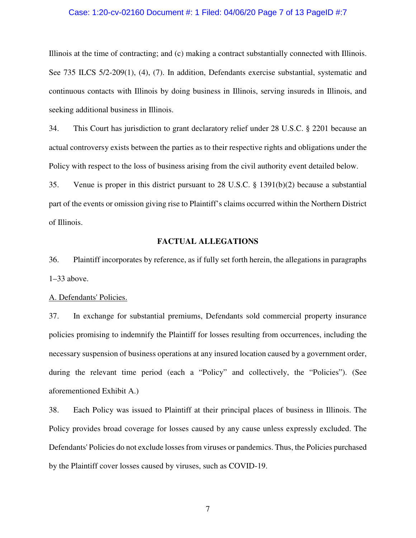### Case: 1:20-cv-02160 Document #: 1 Filed: 04/06/20 Page 7 of 13 PageID #:7

Illinois at the time of contracting; and (c) making a contract substantially connected with Illinois. See 735 ILCS 5/2-209(1), (4), (7). In addition, Defendants exercise substantial, systematic and continuous contacts with Illinois by doing business in Illinois, serving insureds in Illinois, and seeking additional business in Illinois.

34. This Court has jurisdiction to grant declaratory relief under 28 U.S.C. § 2201 because an actual controversy exists between the parties as to their respective rights and obligations under the Policy with respect to the loss of business arising from the civil authority event detailed below.

35. Venue is proper in this district pursuant to 28 U.S.C. § 1391(b)(2) because a substantial part of the events or omission giving rise to Plaintiff's claims occurred within the Northern District of Illinois.

## **FACTUAL ALLEGATIONS**

36. Plaintiff incorporates by reference, as if fully set forth herein, the allegations in paragraphs 1–33 above.

#### A. Defendants' Policies.

37. In exchange for substantial premiums, Defendants sold commercial property insurance policies promising to indemnify the Plaintiff for losses resulting from occurrences, including the necessary suspension of business operations at any insured location caused by a government order, during the relevant time period (each a "Policy" and collectively, the "Policies"). (See aforementioned Exhibit A.)

38. Each Policy was issued to Plaintiff at their principal places of business in Illinois. The Policy provides broad coverage for losses caused by any cause unless expressly excluded. The Defendants' Policies do not exclude losses from viruses or pandemics. Thus, the Policies purchased by the Plaintiff cover losses caused by viruses, such as COVID-19.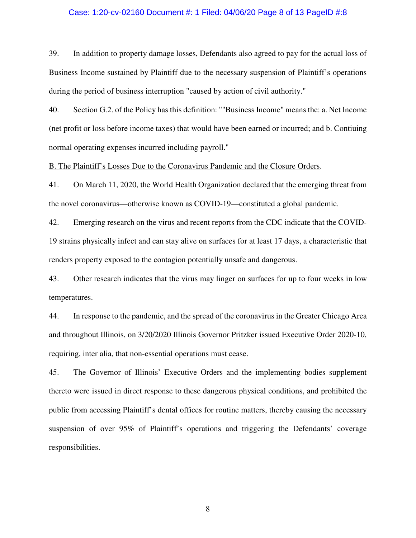### Case: 1:20-cv-02160 Document #: 1 Filed: 04/06/20 Page 8 of 13 PageID #:8

39. In addition to property damage losses, Defendants also agreed to pay for the actual loss of Business Income sustained by Plaintiff due to the necessary suspension of Plaintiff's operations during the period of business interruption "caused by action of civil authority."

40. Section G.2. of the Policy has this definition: ""Business Income" means the: a. Net Income (net profit or loss before income taxes) that would have been earned or incurred; and b. Contiuing normal operating expenses incurred including payroll."

B. The Plaintiff's Losses Due to the Coronavirus Pandemic and the Closure Orders.

41. On March 11, 2020, the World Health Organization declared that the emerging threat from the novel coronavirus—otherwise known as COVID-19—constituted a global pandemic.

42. Emerging research on the virus and recent reports from the CDC indicate that the COVID-19 strains physically infect and can stay alive on surfaces for at least 17 days, a characteristic that renders property exposed to the contagion potentially unsafe and dangerous.

43. Other research indicates that the virus may linger on surfaces for up to four weeks in low temperatures.

44. In response to the pandemic, and the spread of the coronavirus in the Greater Chicago Area and throughout Illinois, on 3/20/2020 Illinois Governor Pritzker issued Executive Order 2020-10, requiring, inter alia, that non-essential operations must cease.

45. The Governor of Illinois' Executive Orders and the implementing bodies supplement thereto were issued in direct response to these dangerous physical conditions, and prohibited the public from accessing Plaintiff's dental offices for routine matters, thereby causing the necessary suspension of over 95% of Plaintiff's operations and triggering the Defendants' coverage responsibilities.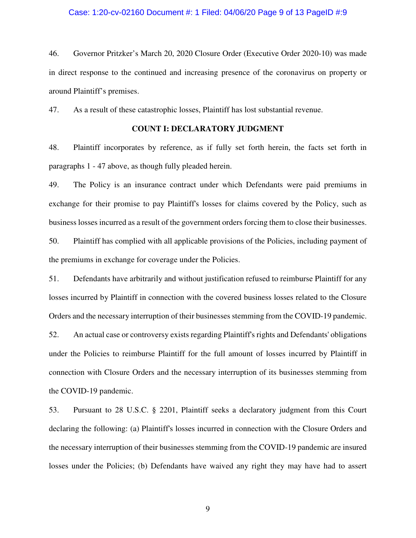### Case: 1:20-cv-02160 Document #: 1 Filed: 04/06/20 Page 9 of 13 PageID #:9

46. Governor Pritzker's March 20, 2020 Closure Order (Executive Order 2020-10) was made in direct response to the continued and increasing presence of the coronavirus on property or around Plaintiff's premises.

47. As a result of these catastrophic losses, Plaintiff has lost substantial revenue.

# **COUNT I: DECLARATORY JUDGMENT**

48. Plaintiff incorporates by reference, as if fully set forth herein, the facts set forth in paragraphs 1 - 47 above, as though fully pleaded herein.

49. The Policy is an insurance contract under which Defendants were paid premiums in exchange for their promise to pay Plaintiff's losses for claims covered by the Policy, such as business losses incurred as a result of the government orders forcing them to close their businesses. 50. Plaintiff has complied with all applicable provisions of the Policies, including payment of the premiums in exchange for coverage under the Policies.

51. Defendants have arbitrarily and without justification refused to reimburse Plaintiff for any losses incurred by Plaintiff in connection with the covered business losses related to the Closure Orders and the necessary interruption of their businesses stemming from the COVID-19 pandemic. 52. An actual case or controversy exists regarding Plaintiff's rights and Defendants' obligations under the Policies to reimburse Plaintiff for the full amount of losses incurred by Plaintiff in connection with Closure Orders and the necessary interruption of its businesses stemming from

53. Pursuant to 28 U.S.C. § 2201, Plaintiff seeks a declaratory judgment from this Court declaring the following: (a) Plaintiff's losses incurred in connection with the Closure Orders and the necessary interruption of their businesses stemming from the COVID-19 pandemic are insured losses under the Policies; (b) Defendants have waived any right they may have had to assert

the COVID-19 pandemic.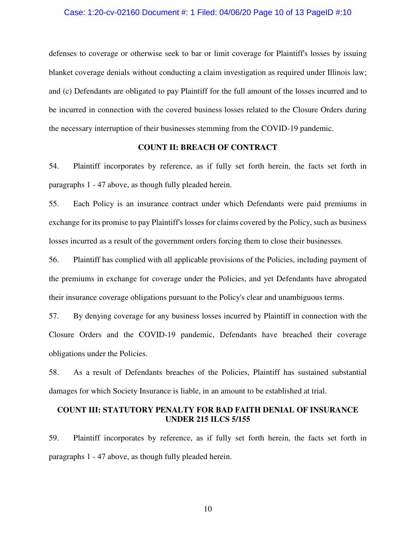### Case: 1:20-cv-02160 Document #: 1 Filed: 04/06/20 Page 10 of 13 PageID #:10

defenses to coverage or otherwise seek to bar or limit coverage for Plaintiff's losses by issuing blanket coverage denials without conducting a claim investigation as required under Illinois law; and (c) Defendants are obligated to pay Plaintiff for the full amount of the losses incurred and to be incurred in connection with the covered business losses related to the Closure Orders during the necessary interruption of their businesses stemming from the COVID-19 pandemic.

## **COUNT II: BREACH OF CONTRACT**

54. Plaintiff incorporates by reference, as if fully set forth herein, the facts set forth in paragraphs 1 - 47 above, as though fully pleaded herein.

55. Each Policy is an insurance contract under which Defendants were paid premiums in exchange for its promise to pay Plaintiff's losses for claims covered by the Policy, such as business losses incurred as a result of the government orders forcing them to close their businesses.

56. Plaintiff has complied with all applicable provisions of the Policies, including payment of the premiums in exchange for coverage under the Policies, and yet Defendants have abrogated their insurance coverage obligations pursuant to the Policy's clear and unambiguous terms.

57. By denying coverage for any business losses incurred by Plaintiff in connection with the Closure Orders and the COVID-19 pandemic, Defendants have breached their coverage obligations under the Policies.

58. As a result of Defendants breaches of the Policies, Plaintiff has sustained substantial damages for which Society Insurance is liable, in an amount to be established at trial.

## **COUNT III: STATUTORY PENALTY FOR BAD FAITH DENIAL OF INSURANCE UNDER 215 ILCS 5/155**

59. Plaintiff incorporates by reference, as if fully set forth herein, the facts set forth in paragraphs 1 - 47 above, as though fully pleaded herein.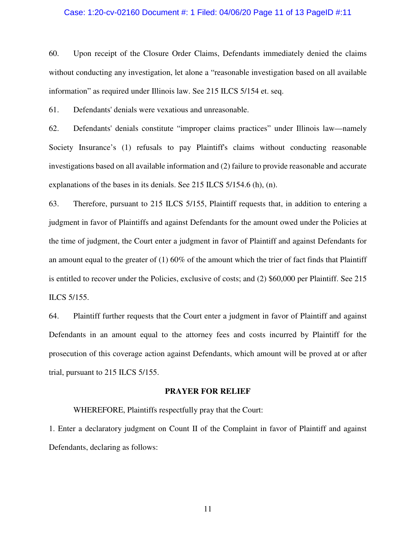### Case: 1:20-cv-02160 Document #: 1 Filed: 04/06/20 Page 11 of 13 PageID #:11

60. Upon receipt of the Closure Order Claims, Defendants immediately denied the claims without conducting any investigation, let alone a "reasonable investigation based on all available information" as required under Illinois law. See 215 ILCS 5/154 et. seq.

61. Defendants' denials were vexatious and unreasonable.

62. Defendants' denials constitute "improper claims practices" under Illinois law—namely Society Insurance's (1) refusals to pay Plaintiff's claims without conducting reasonable investigations based on all available information and (2) failure to provide reasonable and accurate explanations of the bases in its denials. See 215 ILCS 5/154.6 (h), (n).

63. Therefore, pursuant to 215 ILCS 5/155, Plaintiff requests that, in addition to entering a judgment in favor of Plaintiffs and against Defendants for the amount owed under the Policies at the time of judgment, the Court enter a judgment in favor of Plaintiff and against Defendants for an amount equal to the greater of (1) 60% of the amount which the trier of fact finds that Plaintiff is entitled to recover under the Policies, exclusive of costs; and (2) \$60,000 per Plaintiff. See 215 ILCS 5/155.

64. Plaintiff further requests that the Court enter a judgment in favor of Plaintiff and against Defendants in an amount equal to the attorney fees and costs incurred by Plaintiff for the prosecution of this coverage action against Defendants, which amount will be proved at or after trial, pursuant to 215 ILCS 5/155.

### **PRAYER FOR RELIEF**

WHEREFORE, Plaintiffs respectfully pray that the Court:

1. Enter a declaratory judgment on Count II of the Complaint in favor of Plaintiff and against Defendants, declaring as follows: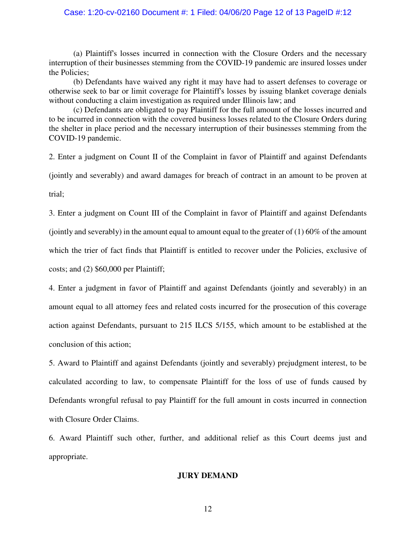## Case: 1:20-cv-02160 Document #: 1 Filed: 04/06/20 Page 12 of 13 PageID #:12

 (a) Plaintiff's losses incurred in connection with the Closure Orders and the necessary interruption of their businesses stemming from the COVID-19 pandemic are insured losses under the Policies;

 (b) Defendants have waived any right it may have had to assert defenses to coverage or otherwise seek to bar or limit coverage for Plaintiff's losses by issuing blanket coverage denials without conducting a claim investigation as required under Illinois law; and

 (c) Defendants are obligated to pay Plaintiff for the full amount of the losses incurred and to be incurred in connection with the covered business losses related to the Closure Orders during the shelter in place period and the necessary interruption of their businesses stemming from the COVID-19 pandemic.

2. Enter a judgment on Count II of the Complaint in favor of Plaintiff and against Defendants (jointly and severably) and award damages for breach of contract in an amount to be proven at

trial;

3. Enter a judgment on Count III of the Complaint in favor of Plaintiff and against Defendants (jointly and severably) in the amount equal to amount equal to the greater of (1) 60% of the amount which the trier of fact finds that Plaintiff is entitled to recover under the Policies, exclusive of costs; and (2) \$60,000 per Plaintiff;

4. Enter a judgment in favor of Plaintiff and against Defendants (jointly and severably) in an amount equal to all attorney fees and related costs incurred for the prosecution of this coverage action against Defendants, pursuant to 215 ILCS 5/155, which amount to be established at the conclusion of this action;

5. Award to Plaintiff and against Defendants (jointly and severably) prejudgment interest, to be calculated according to law, to compensate Plaintiff for the loss of use of funds caused by Defendants wrongful refusal to pay Plaintiff for the full amount in costs incurred in connection with Closure Order Claims.

6. Award Plaintiff such other, further, and additional relief as this Court deems just and appropriate.

## **JURY DEMAND**